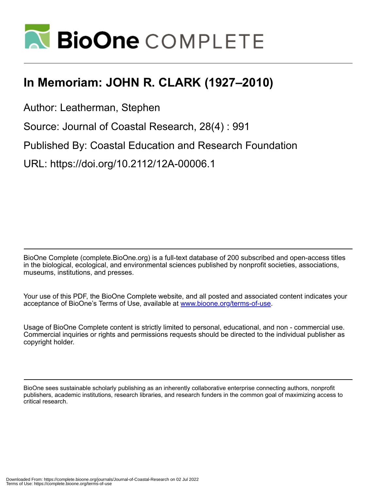

## **In Memoriam: JOHN R. CLARK (1927–2010)**

Author: Leatherman, Stephen

Source: Journal of Coastal Research, 28(4) : 991

Published By: Coastal Education and Research Foundation

URL: https://doi.org/10.2112/12A-00006.1

BioOne Complete (complete.BioOne.org) is a full-text database of 200 subscribed and open-access titles in the biological, ecological, and environmental sciences published by nonprofit societies, associations, museums, institutions, and presses.

Your use of this PDF, the BioOne Complete website, and all posted and associated content indicates your acceptance of BioOne's Terms of Use, available at www.bioone.org/terms-of-use.

Usage of BioOne Complete content is strictly limited to personal, educational, and non - commercial use. Commercial inquiries or rights and permissions requests should be directed to the individual publisher as copyright holder.

BioOne sees sustainable scholarly publishing as an inherently collaborative enterprise connecting authors, nonprofit publishers, academic institutions, research libraries, and research funders in the common goal of maximizing access to critical research.